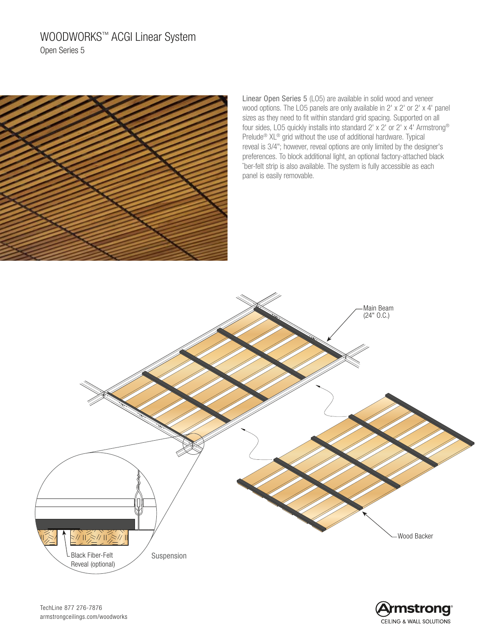# WOODWORKS™ ACGI Linear System Open Series 5



Linear Open Series 5 (LO5) are available in solid wood and veneer wood options. The LO5 panels are only available in 2' x 2' or 2' x 4' panel sizes as they need to fit within standard grid spacing. Supported on all four sides, LO5 quickly installs into standard 2' x 2' or 2' x 4' Armstrong® Prelude® XL® grid without the use of additional hardware. Typical reveal is 3/4"; however, reveal options are only limited by the designer's preferences. To block additional light, an optional factory-attached black ˘ber-felt strip is also available. The system is fully accessible as each panel is easily removable.